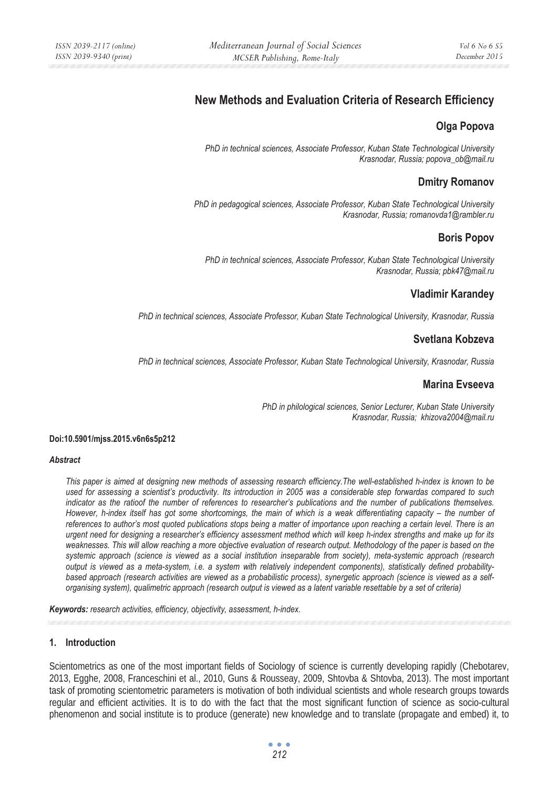# **New Methods and Evaluation Criteria of Research Efficiency**

# **Olga Popova**

*PhD in technical sciences, Associate Professor, Kuban State Technological University Krasnodar, Russia; popova\_ob@mail.ru* 

# **Dmitry Romanov**

*PhD in pedagogical sciences, Associate Professor, Kuban State Technological University Krasnodar, Russia; romanovda1@rambler.ru* 

# **Boris Popov**

*PhD in technical sciences, Associate Professor, Kuban State Technological University Krasnodar, Russia; pbk47@mail.ru* 

### **Vladimir Karandey**

*PhD in technical sciences, Associate Professor, Kuban State Technological University, Krasnodar, Russia* 

# **Svetlana Kobzeva**

*PhD in technical sciences, Associate Professor, Kuban State Technological University, Krasnodar, Russia* 

### **Marina Evseeva**

*PhD in philological sciences, Senior Lecturer, Kuban State University Krasnodar, Russia; khizova2004@mail.ru* 

#### **Doi:10.5901/mjss.2015.v6n6s5p212**

#### *Abstract*

*This paper is aimed at designing new methods of assessing research efficiency.The well-established h-index is known to be used for assessing a scientist's productivity. Its introduction in 2005 was a considerable step forwardas compared to such indicator as the ratioof the number of references to researcher's publications and the number of publications themselves. However, h-index itself has got some shortcomings, the main of which is a weak differentiating capacity – the number of references to author's most quoted publications stops being a matter of importance upon reaching a certain level. There is an urgent need for designing a researcher's efficiency assessment method which will keep h-index strengths and make up for its*  weaknesses. This will allow reaching a more objective evaluation of research output. Methodology of the paper is based on the *systemic approach (science is viewed as a social institution inseparable from society), meta-systemic approach (research output is viewed as a meta-system, i.e. a system with relatively independent components), statistically defined probabilitybased approach (research activities are viewed as a probabilistic process), synergetic approach (science is viewed as a selforganising system), qualimetric approach (research output is viewed as a latent variable resettable by a set of criteria)* 

*Keywords: research activities, efficiency, objectivity, assessment, h-index.* 

### **1. Introduction**

Scientometrics as one of the most important fields of Sociology of science is currently developing rapidly (Chebotarev, 2013, Egghe, 2008, Franceschini et al., 2010, Guns & Rousseay, 2009, Shtovba & Shtovba, 2013). The most important task of promoting scientometric parameters is motivation of both individual scientists and whole research groups towards regular and efficient activities. It is to do with the fact that the most significant function of science as socio-cultural phenomenon and social institute is to produce (generate) new knowledge and to translate (propagate and embed) it, to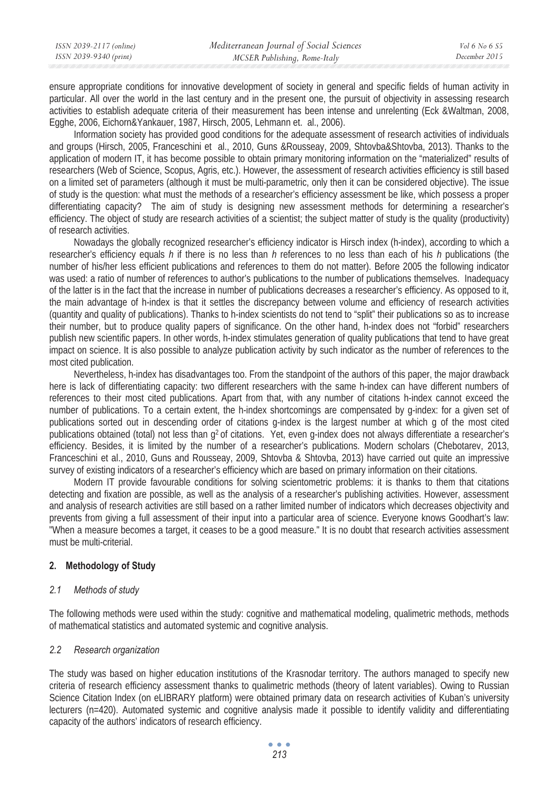| ISSN 2039-2117 (online) | Mediterranean Journal of Social Sciences | Vol 6 No 6 S5 |
|-------------------------|------------------------------------------|---------------|
| ISSN 2039-9340 (print)  | MCSER Publishing, Rome-Italy             | December 2015 |
|                         |                                          |               |

ensure appropriate conditions for innovative development of society in general and specific fields of human activity in particular. All over the world in the last century and in the present one, the pursuit of objectivity in assessing research activities to establish adequate criteria of their measurement has been intense and unrelenting (Eck &Waltman, 2008, Egghe, 2006, Eichorn&Yankauer, 1987, Hirsch, 2005, Lehmann et. al., 2006).

Information society has provided good conditions for the adequate assessment of research activities of individuals and groups (Hirsch, 2005, Franceschini et al., 2010, Guns &Rousseay, 2009, Shtovba&Shtovba, 2013). Thanks to the application of modern IT, it has become possible to obtain primary monitoring information on the "materialized" results of researchers (Web of Science, Scopus, Agris, etc.). However, the assessment of research activities efficiency is still based on a limited set of parameters (although it must be multi-parametric, only then it can be considered objective). The issue of study is the question: what must the methods of a researcher's efficiency assessment be like, which possess a proper differentiating capacity? The aim of study is designing new assessment methods for determining a researcher's efficiency. The object of study are research activities of a scientist; the subject matter of study is the quality (productivity) of research activities.

Nowadays the globally recognized researcher's efficiency indicator is Hirsch index (h-index), according to which a researcher's efficiency equals *h* if there is no less than *h* references to no less than each of his *h* publications (the number of his/her less efficient publications and references to them do not matter). Before 2005 the following indicator was used: a ratio of number of references to author's publications to the number of publications themselves. Inadequacy of the latter is in the fact that the increase in number of publications decreases a researcher's efficiency. As opposed to it, the main advantage of h-index is that it settles the discrepancy between volume and efficiency of research activities (quantity and quality of publications). Thanks to h-index scientists do not tend to "split" their publications so as to increase their number, but to produce quality papers of significance. On the other hand, h-index does not "forbid" researchers publish new scientific papers. In other words, h-index stimulates generation of quality publications that tend to have great impact on science. It is also possible to analyze publication activity by such indicator as the number of references to the most cited publication.

Nevertheless, h-index has disadvantages too. From the standpoint of the authors of this paper, the major drawback here is lack of differentiating capacity: two different researchers with the same h-index can have different numbers of references to their most cited publications. Apart from that, with any number of citations h-index cannot exceed the number of publications. To a certain extent, the h-index shortcomings are compensated by g-index: for a given set of publications sorted out in descending order of citations g-index is the largest number at which g of the most cited publications obtained (total) not less than g2 of citations. Yet, even g-index does not always differentiate a researcher's efficiency. Besides, it is limited by the number of a researcher's publications. Modern scholars (Chebotarev, 2013, Franceschini et al., 2010, Guns and Rousseay, 2009, Shtovba & Shtovba, 2013) have carried out quite an impressive survey of existing indicators of a researcher's efficiency which are based on primary information on their citations.

Modern IT provide favourable conditions for solving scientometric problems: it is thanks to them that citations detecting and fixation are possible, as well as the analysis of a researcher's publishing activities. However, assessment and analysis of research activities are still based on a rather limited number of indicators which decreases objectivity and prevents from giving a full assessment of their input into a particular area of science. Everyone knows Goodhart's law: "When a measure becomes a target, it ceases to be a good measure." It is no doubt that research activities assessment must be multi-criterial.

### **2. Methodology of Study**

### *2.1 Methods of study*

The following methods were used within the study: cognitive and mathematical modeling, qualimetric methods, methods of mathematical statistics and automated systemic and cognitive analysis.

### *2.2 Research organization*

The study was based on higher education institutions of the Krasnodar territory. The authors managed to specify new criteria of research efficiency assessment thanks to qualimetric methods (theory of latent variables). Owing to Russian Science Citation Index (on eLIBRARY platform) were obtained primary data on research activities of Kuban's university lecturers (n=420). Automated systemic and cognitive analysis made it possible to identify validity and differentiating capacity of the authors' indicators of research efficiency.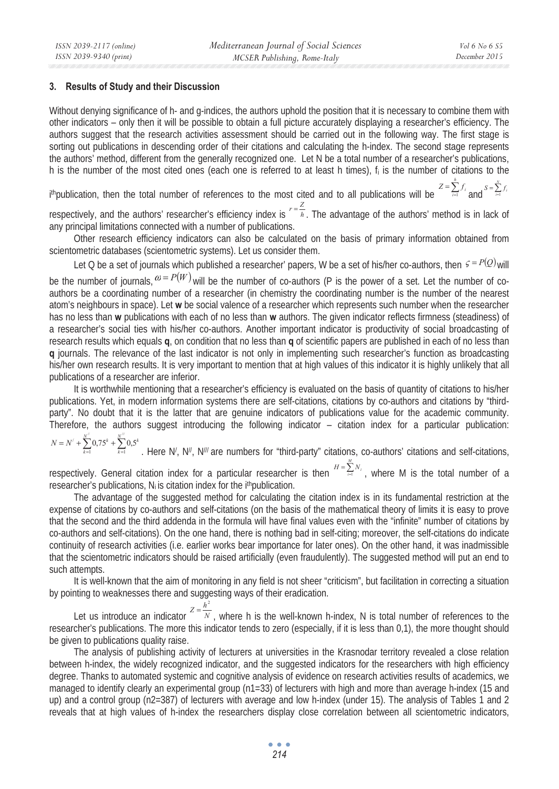#### **3. Results of Study and their Discussion**

Without denying significance of h- and g-indices, the authors uphold the position that it is necessary to combine them with other indicators – only then it will be possible to obtain a full picture accurately displaying a researcher's efficiency. The authors suggest that the research activities assessment should be carried out in the following way. The first stage is sorting out publications in descending order of their citations and calculating the h-index. The second stage represents the authors' method, different from the generally recognized one. Let N be a total number of a researcher's publications, h is the number of the most cited ones (each one is referred to at least h times),  $f_i$  is the number of citations to the

i thpublication, then the total number of references to the most cited and to all publications will be  $Z = \sum_{i=1}^{k} f_i$  and  $S = \sum_{i=1}^{N} f_i$  $Z = \sum_{i=1}^{n} f_i$  and  $S = \sum_{i=1}^{N} f_i$  $S = \sum_{i=1}^{\infty} f_i$ 

respectively, and the authors' researcher's efficiency index is  $\frac{r}{h} = \frac{Z}{h}$ . The advantage of the authors' method is in lack of any principal limitations connected with a number of publications.

Other research efficiency indicators can also be calculated on the basis of primary information obtained from scientometric databases (scientometric systems). Let us consider them.

Let Q be a set of journals which published a researcher' papers, W be a set of his/her co-authors, then  $\varsigma = P(Q)$  will be the number of journals,  $\omega = P(W)$  will be the number of co-authors (P is the power of a set. Let the number of coauthors be a coordinating number of a researcher (in chemistry the coordinating number is the number of the nearest atom's neighbours in space). Let **w** be social valence of a researcher which represents such number when the researcher has no less than **w** publications with each of no less than **w** authors. The given indicator reflects firmness (steadiness) of a researcher's social ties with his/her co-authors. Another important indicator is productivity of social broadcasting of research results which equals **q**, on condition that no less than **q** of scientific papers are published in each of no less than **q** journals. The relevance of the last indicator is not only in implementing such researcher's function as broadcasting his/her own research results. It is very important to mention that at high values of this indicator it is highly unlikely that all publications of a researcher are inferior.

It is worthwhile mentioning that a researcher's efficiency is evaluated on the basis of quantity of citations to his/her publications. Yet, in modern information systems there are self-citations, citations by co-authors and citations by "thirdparty". No doubt that it is the latter that are genuine indicators of publications value for the academic community. Therefore, the authors suggest introducing the following indicator – citation index for a particular publication: *<sup>k</sup> <sup>N</sup>*

 $N' + \sum_{k=1}^{N''} 0.75^k + \sum_{k=1}^{N'''} 0.5^k$ . Here N', N'', N'' are numbers for "third-party" citations, co-authors' citations and self-citations,  $\gamma' + \sum_{k=1}^{N''} 0.75^k + \sum_{k=1}^{N'''} 0.5^k$ *k*  $N = N^7 + \sum_{k=1}^{6} 0.75^k$ 

*M*

respectively. General citation index for a particular researcher is then  $H = \sum_{i=1}^{H} N_i$ , where M is the total number of a researcher's publications, N<sub>i</sub> is citation index for the i<sup>th</sup>publication.

The advantage of the suggested method for calculating the citation index is in its fundamental restriction at the expense of citations by co-authors and self-citations (on the basis of the mathematical theory of limits it is easy to prove that the second and the third addenda in the formula will have final values even with the "infinite" number of citations by co-authors and self-citations). On the one hand, there is nothing bad in self-citing; moreover, the self-citations do indicate continuity of research activities (i.e. earlier works bear importance for later ones). On the other hand, it was inadmissible that the scientometric indicators should be raised artificially (even fraudulently). The suggested method will put an end to such attempts.

It is well-known that the aim of monitoring in any field is not sheer "criticism", but facilitation in correcting a situation by pointing to weaknesses there and suggesting ways of their eradication.

Let us introduce an indicator  $Z = \frac{h^2}{N}$ , where h is the well-known h-index, N is total number of references to the researcher's publications. The more this indicator tends to zero (especially, if it is less than 0,1), the more thought should be given to publications quality raise.

The analysis of publishing activity of lecturers at universities in the Krasnodar territory revealed a close relation between h-index, the widely recognized indicator, and the suggested indicators for the researchers with high efficiency degree. Thanks to automated systemic and cognitive analysis of evidence on research activities results of academics, we managed to identify clearly an experimental group (n1=33) of lecturers with high and more than average h-index (15 and up) and a control group (n2=387) of lecturers with average and low h-index (under 15). The analysis of Tables 1 and 2 reveals that at high values of h-index the researchers display close correlation between all scientometric indicators,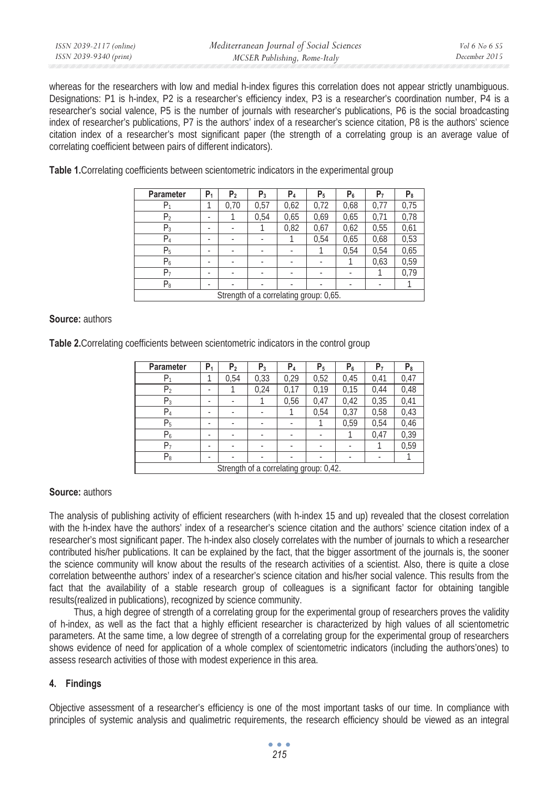| ISSN 2039-2117 (online) | Mediterranean Journal of Social Sciences | Vol 6 No 6 S5 |
|-------------------------|------------------------------------------|---------------|
| ISSN 2039-9340 (print)  | MCSER Publishing, Rome-Italy             | December 2015 |

whereas for the researchers with low and medial h-index figures this correlation does not appear strictly unambiguous. Designations: P1 is h-index, P2 is a researcher's efficiency index, P3 is a researcher's coordination number, P4 is a researcher's social valence, P5 is the number of journals with researcher's publications, P6 is the social broadcasting index of researcher's publications, P7 is the authors' index of a researcher's science citation, P8 is the authors' science citation index of a researcher's most significant paper (the strength of a correlating group is an average value of correlating coefficient between pairs of different indicators).

Table 1. Correlating coefficients between scientometric indicators in the experimental group

| <b>Parameter</b>                       | P <sub>1</sub> | P <sub>2</sub>           | $P_3$                    | P <sub>4</sub>           | P <sub>5</sub> | P6   | P <sub>7</sub>           | P8   |
|----------------------------------------|----------------|--------------------------|--------------------------|--------------------------|----------------|------|--------------------------|------|
| P1                                     |                | 0,70                     | 0,57                     | 0,62                     | 0,72           | 0,68 | 0,77                     | 0,75 |
| P <sub>2</sub>                         | ٠              |                          | 0.54                     | 0,65                     | 0,69           | 0,65 | 0,71                     | 0,78 |
| $P_3$                                  | ۰              |                          |                          | 0,82                     | 0,67           | 0,62 | 0,55                     | 0,61 |
| $P_4$                                  | ٠              | $\overline{\phantom{a}}$ | ٠                        |                          | 0,54           | 0,65 | 0,68                     | 0,53 |
| P <sub>5</sub>                         | ٠              | $\overline{\phantom{a}}$ | ٠                        | ٠                        |                | 0.54 | 0.54                     | 0,65 |
| $P_6$                                  | ۰              |                          |                          | $\overline{\phantom{a}}$ |                |      | 0,63                     | 0,59 |
| P7                                     | ٠              | ۰                        | ٠                        | ٠                        |                | ٠    |                          | 0,79 |
| $P_8$                                  | ٠              | ٠                        | $\overline{\phantom{a}}$ | ٠                        | ٠              | ٠    | $\overline{\phantom{a}}$ |      |
| Strength of a correlating group: 0,65. |                |                          |                          |                          |                |      |                          |      |

### **Source:** authors

**Table 2.**Correlating coefficients between scientometric indicators in the control group

| <b>Parameter</b>                       | P <sub>1</sub> | P <sub>2</sub> | $P_3$                    | P4   | P <sub>5</sub> | $P_6$ | P <sub>7</sub>           | $P_8$ |
|----------------------------------------|----------------|----------------|--------------------------|------|----------------|-------|--------------------------|-------|
| P1                                     |                | 0,54           | 0,33                     | 0,29 | 0,52           | 0,45  | 0,41                     | 0,47  |
| P <sub>2</sub>                         | ۰              |                | 0,24                     | 0,17 | 0,19           | 0,15  | 0,44                     | 0,48  |
| $P_3$                                  | ٠              |                |                          | 0,56 | 0,47           | 0,42  | 0,35                     | 0,41  |
| $\mathsf{P}_4$                         | ٠              | ۰              | ٠                        |      | 0,54           | 0,37  | 0,58                     | 0,43  |
| P <sub>5</sub>                         | ٠              | ٠              | $\overline{\phantom{a}}$ | ٠    |                | 0,59  | 0,54                     | 0,46  |
| $P_6$                                  | ٠              |                | ٠                        | ٠    |                |       | 0,47                     | 0,39  |
| P7                                     | ٠              | ۰              | ٠                        | ٠    |                |       |                          | 0,59  |
| $P_8$                                  | ٠              |                | ٠                        | ٠    | ٠              | ٠     | $\overline{\phantom{a}}$ |       |
| Strength of a correlating group: 0,42. |                |                |                          |      |                |       |                          |       |

### **Source:** authors

The analysis of publishing activity of efficient researchers (with h-index 15 and up) revealed that the closest correlation with the h-index have the authors' index of a researcher's science citation and the authors' science citation index of a researcher's most significant paper. The h-index also closely correlates with the number of journals to which a researcher contributed his/her publications. It can be explained by the fact, that the bigger assortment of the journals is, the sooner the science community will know about the results of the research activities of a scientist. Also, there is quite a close correlation betweenthe authors' index of a researcher's science citation and his/her social valence. This results from the fact that the availability of a stable research group of colleagues is a significant factor for obtaining tangible results(realized in publications), recognized by science community.

Thus, a high degree of strength of a correlating group for the experimental group of researchers proves the validity of h-index, as well as the fact that a highly efficient researcher is characterized by high values of all scientometric parameters. At the same time, a low degree of strength of a correlating group for the experimental group of researchers shows evidence of need for application of a whole complex of scientometric indicators (including the authors'ones) to assess research activities of those with modest experience in this area.

### **4. Findings**

Objective assessment of a researcher's efficiency is one of the most important tasks of our time. In compliance with principles of systemic analysis and qualimetric requirements, the research efficiency should be viewed as an integral